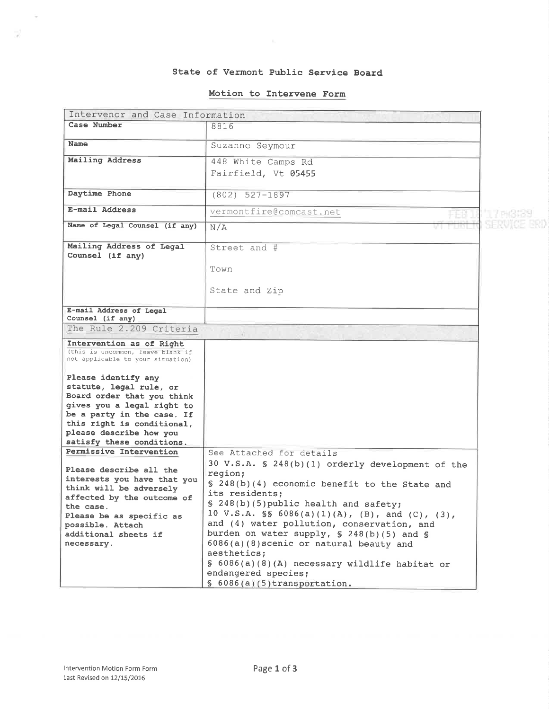### State of Vermont Public Service Board

#### Motion to Intervene Form

|                                                                        | Intervenor and Case Information                                 |  |  |
|------------------------------------------------------------------------|-----------------------------------------------------------------|--|--|
| Case Number                                                            | 8816                                                            |  |  |
| Name                                                                   | Suzanne Seymour                                                 |  |  |
| Mailing Address                                                        | 448 White Camps Rd                                              |  |  |
|                                                                        |                                                                 |  |  |
|                                                                        | Fairfield, Vt 05455                                             |  |  |
| Daytime Phone                                                          | $(802)$ 527-1897                                                |  |  |
| E-mail Address                                                         | vermontfire@comcast.net                                         |  |  |
|                                                                        |                                                                 |  |  |
| Name of Legal Counsel (if any)                                         | N/A                                                             |  |  |
| Mailing Address of Legal                                               | Street and #                                                    |  |  |
| Counsel (if any)                                                       |                                                                 |  |  |
|                                                                        | Town                                                            |  |  |
|                                                                        |                                                                 |  |  |
|                                                                        | State and Zip                                                   |  |  |
|                                                                        |                                                                 |  |  |
| E-mail Address of Legal<br>Counsel (if any)                            |                                                                 |  |  |
| The Rule 2.209 Criteria                                                |                                                                 |  |  |
| Intervention as of Right                                               |                                                                 |  |  |
| (this is uncommon, leave blank if<br>not applicable to your situation) |                                                                 |  |  |
| Please identify any                                                    |                                                                 |  |  |
| statute, legal rule, or                                                |                                                                 |  |  |
| Board order that you think                                             |                                                                 |  |  |
| gives you a legal right to                                             |                                                                 |  |  |
| be a party in the case. If<br>this right is conditional,               |                                                                 |  |  |
| please describe how you                                                |                                                                 |  |  |
| satisfy these conditions.                                              |                                                                 |  |  |
| Permissive Intervention                                                | See Attached for details                                        |  |  |
| Please describe all the                                                | 30 V.S.A. § 248(b)(1) orderly development of the                |  |  |
| interests you have that you                                            | region;                                                         |  |  |
| think will be adversely                                                | § 248(b)(4) economic benefit to the State and<br>its residents; |  |  |
| affected by the outcome of                                             | § 248(b)(5) public health and safety;                           |  |  |
| the case.                                                              | 10 V.S.A. SS 6086(a)(1)(A), (B), and (C), (3),                  |  |  |
| Please be as specific as<br>possible. Attach                           | and (4) water pollution, conservation, and                      |  |  |
| additional sheets if                                                   | burden on water supply, § 248(b)(5) and §                       |  |  |
| necessary.                                                             | 6086(a)(8) scenic or natural beauty and                         |  |  |
|                                                                        | aesthetics:                                                     |  |  |
|                                                                        | § 6086(a)(8)(A) necessary wildlife habitat or                   |  |  |
|                                                                        | endangered species;                                             |  |  |
|                                                                        | $$6086(a)(5)$ transportation.                                   |  |  |

 $\sim$ 

- 58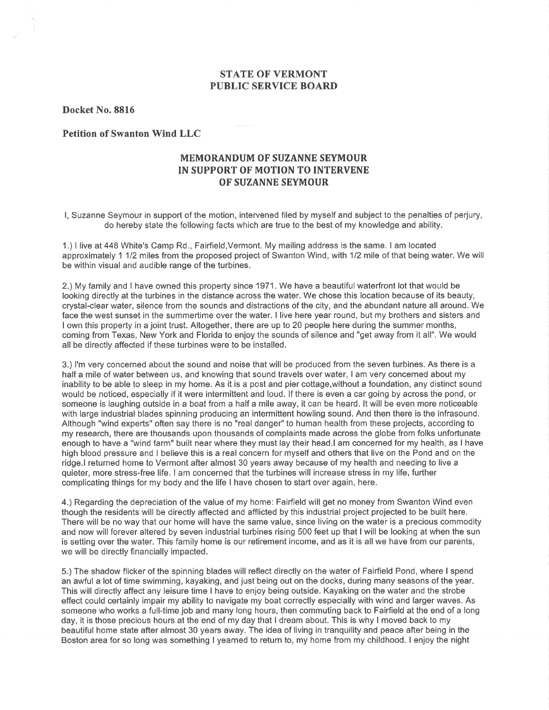## STATE OF VERMONT PUBLIC SERVICE BOARI)

Docket No.8816

Petition of Swanton Wind LLC

# MEMORANDUM OF SUZANNE SEYMOUR IN SUPPORT OF MOTION TO INTERVENE OF SUZANNE SEYMOUR

l, Suzanne Seymour in support of the motion, intervened filed by myself and subject to the penalties of perjury, do hereby state the following facts which are true to the best of my knowledge and ability.

1.) I live at448 White's Camp Rd., Fairfield,Vermont. My mailing address is the same. I am located approximately 1 112 miles from the proposed project of Swanton Wind, with 112 mile of that being water. We will be within visual and audible range of the turbines.

2.) My family and I have owned this property since 1971. We have a beautiful waterfront lot that would be looking directly at the turbines in the distance across the water. We chose this location because of its beauty, crystal-clear water, silence from the sounds and distractions of the city, and the abundant nature all around. We face the west sunset in the summertime over the water. I live here year round, but my brothers and sisters and I own this property in a joint trust. Altogether, there are up to 20 people here during the summer months, coming from Texas, New York and Florida to enjoy the sounds of silence and "get away from it all". We would all be directly affected if these turbines were to be installed.

3.) l'm very concerned about the sound and noise that will be produced from the seven turbines. As there is a half a mile of water between us, and knowing that sound travels over water, I am very concerned about my inability to be able to sleep in my home. As it is a post and pier cottage,without a foundation, any distinct sound would be noticed, especially if itwere intermittent and loud. lf there is even a car going by across the pond, or someone is laughing outside in a boat from a half a mile away, it can be heard. lt will be even more noticeable with large industrial blades spinning producing an intermittent howling sound. And then there is the infrasound. Although "wind experts" often say there is no "real danger" to human health from these projects, according to my research, there are thousands upon thousands of complaints made across the globe from folks unfortunate enough to have a "wind farm" built near where they must lay their head.l am concerned for my health, as I have high blood pressure and I believe this is a real concern for myself and others that live on the Pond and on the ridge.l returned home to Vermont after almost 30 years away because of my health and needing to live a quieter, more stress-free life. I am concerned that the turbines will increase stress in my life, further complicating things for my body and the life I have chosen to start over again, here.

4.) Regarding the depreciation of the value of my home: Fairfield will get no money from Swanton Wind even though the residents will be directly affected and afflicted by this industrial project projected to be built here. There will be no way that our home will have the same value, since living on the water is a precious commodity and now will forever altered by seven industrial turbines rising 500 feet up that I will be looking at when the sun is setting over the water. This family home is our retirement income, and as it is all we have from our parents, we will be directly financially impacted.

5.) The shadow flicker of the spinning blades will reflect directly on the water of Fairfield Pond, where I spend an awful a lot of time swimming, kayaking, and just being out on the docks, during many seasons of the year. This will directly affect any leisure time I have to enjoy being outside. Kayaking on the water and the strobe effect could certainly impair my ability to navigate my boat correctly especially with wind and larger waves. As someone who works a full-time job and many long hours, then commuting back to Fairfield at the end of a long day, it is those precious hours at the end of my day that I dream about. This is why I moved back to my beautiful home state after almost 30 years away. The idea of living in tranquility and peace after being in the Boston area for so long was something I yearned to return to, my home from my childhood. I enjoy the night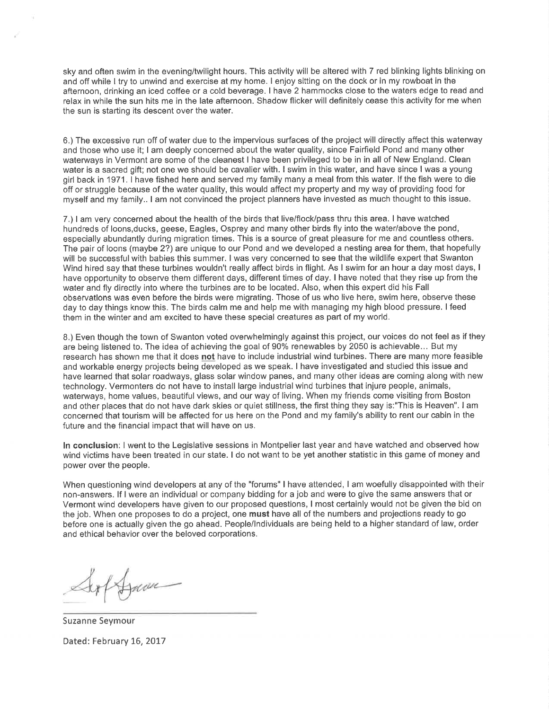sky and often swim in the evening/twilight hours. This activity will be altered with 7 red blinking lights blinking on and off while I try to unwind and exercise at my home. I enjoy sitting on the dock or in my rowboat in the afternoon, drinking an iced coffee or a cold beverage, I have 2 hammocks close to the waters edge to read and relax in while the sun hits me in the late afternoon. Shadow flicker will definitely cease this activity for me when the sun is starting its descent over the water.

6.) The excessive run off of water due to the impervious surfaces of the project will directly affect this waterway and those who use it; I am deeply concerned about the water quality, since Fairfield Pond and many other waterways in Vermont are some of the cleanest I have been privileged to be in in all of New England. Clean water is a sacred gift; not one we should be cavalier with. I swim in this water, and have since I was a young girl back in 1971. I have fished here and served my family many a meal from this water. lf the fish were to die off or struggle because of the water quality, this would affect my property and my way of providing food for myself and my family.. I am not convinced the project planners have invested as much thought to this issue.

7.) I am very concerned about the health of the birds that live/flock/pass thru this area. I have watched hundreds of loons,ducks, geese, Eagles, Osprey and many other birds fly into the water/above the pond, especially abundantly during migration times. This is a source of great pleasure for me and countless others. The pair of loons (maybe 2?) are unique to our Pond and we developed a nesting area for them, that hopefully will be successful with babies this summer. I was very concerned to see that the wildlife expert that Swanton Wind hired say that these turbines wouldn't really affect birds in flight. As I swim for an hour a day most days, <sup>I</sup> have opportunity to observe them different days, different times of day. I have noted that they rise up from the water and fly directly into where the turbines are to be located. Also, when this expert did his Fall observations was even before the birds were migrating. Those of us who live here, swim here, observe these day to day things know this. The birds calm me and help me with managing my high blood pressure. I feed them in the winter and am excited to have these special creatures as part of my world.

8.) Even though the town of Swanton voted overwhelmingly against this project, our voices do not feel as if they are being listened to. The idea of achieving the goal of 90% renewables by 2050 is achievable... But my research has shown me that it does not have to include industrial wind turbines. There are many more feasible and workable energy projects being developed as we speak. I have investigated and studied this issue and have learned that solar roadways, glass solar window panes, and many other ideas are coming along with new technology. Vermonters do not have to install large industrial wind turbines that injure people, animals, waterways, home values, beautiful views, and our way of living. When my friends come visiting from Boston and other places that do not have dark skies or quiet stillness, the first thing they say is:"This is Heaven". I am concerned that tourism will be affected for us here on the Pond and my family's ability to rent our cabin in the future and the financial impact that will have on us.

In conclusion: I went to the Legislative sessions in Montpelier last year and have watched and observed how wind victims have been treated in our state. I do not want to be yet another statistic in this game of money and power over the people.

When questioning wind developers at any of the "forums" I have attended, I am woefully disappointed with their non-answers. lf I were an individual or company bidding for a job and were to give the same answers that or Vermont wind developers have given to our proposed questions, I most certainly would not be given the bid on the job. When one proposes to do a project, one must have all of the numbers and projections ready to go before one is actually given the go ahead. People/lndividuals are being held to a higher standard of law, order and ethical behavior over the beloved corporations.

Hum

Suzanne Seymour Dated: February 16, 2017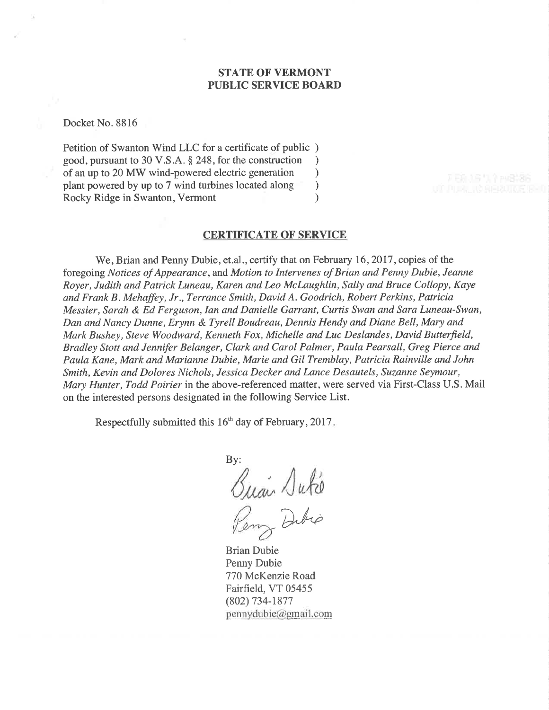# STATE OF VERMONT PUBLIC SERVICE BOARD

Docket No. 8816

Petition of Swanton Wind LLC for a certificate of public ) good, pursuant to 30 V.S.A. \$ 248, for the construction ) of an up to 20 MW wind-powered electric generation <br>plant powered by up to 7 wind turbines located along  $\qquad)$ plant powered by up to 7 wind turbines located along (a) Rocky Ridge in Swanton, Vermont (b) Rocky Ridge in Swanton, Vermont )

### **CERTIFICATE OF SERVICE**

We, Brian and Penny Dubie, et.al., certify that on February 16, 2017, copies of the foregoing Notices of Appearance, and Motion to Intervenes of Brian and Penny Dubie, Jeanne Royer, Judith and Patrick Luneau, Karen and Leo McLaughlin, Sally and Bruce Collopy, Kaye and Frank B. Mehaffey, Jr., Terrance Smith, David A. Goodrich, Robert Perkins, Patricia Messier, Sarah & Ed Ferguson, Ian and Danielle Garrant, Curtis Swan and Sara Luneau-Swan, Dan and Nancy Dunne, Erynn & Tyrell Boudreau, Dennis Hendy and Diane Bell, Mary and Mark Bushey, Steve Woodward, Kenneth Fox, Michelle and Luc Deslandes, David Butterfield, Bradley Stott and Jennifer Belanger, Clark and Carol Palmer, Paula Pearsall, Greg Pierce and Paula Kane, Mark and Marianne Dubie, Marie and Gil Tremblay, Patricia Rainville and John Smith, Kevin and Dolores Nichols, Jessica Decker and Lance Desautels, Suzanne Seymour, Mary Hunter, Todd Poirier in the above-referenced matter, were served via First-Class U.S. Mail on the interested persons designated in the following Service List.

Respectfully submitted this 16<sup>th</sup> day of February, 2017.

By:  $\sqrt{u}$ Dibio

Brian Dubie Penny Dubie 770 McKenzie Road Fairfield, VT 05455 (802) 734-1877  $p$ ennydubie@gmail.com

FEB 35 U.S. PLG136